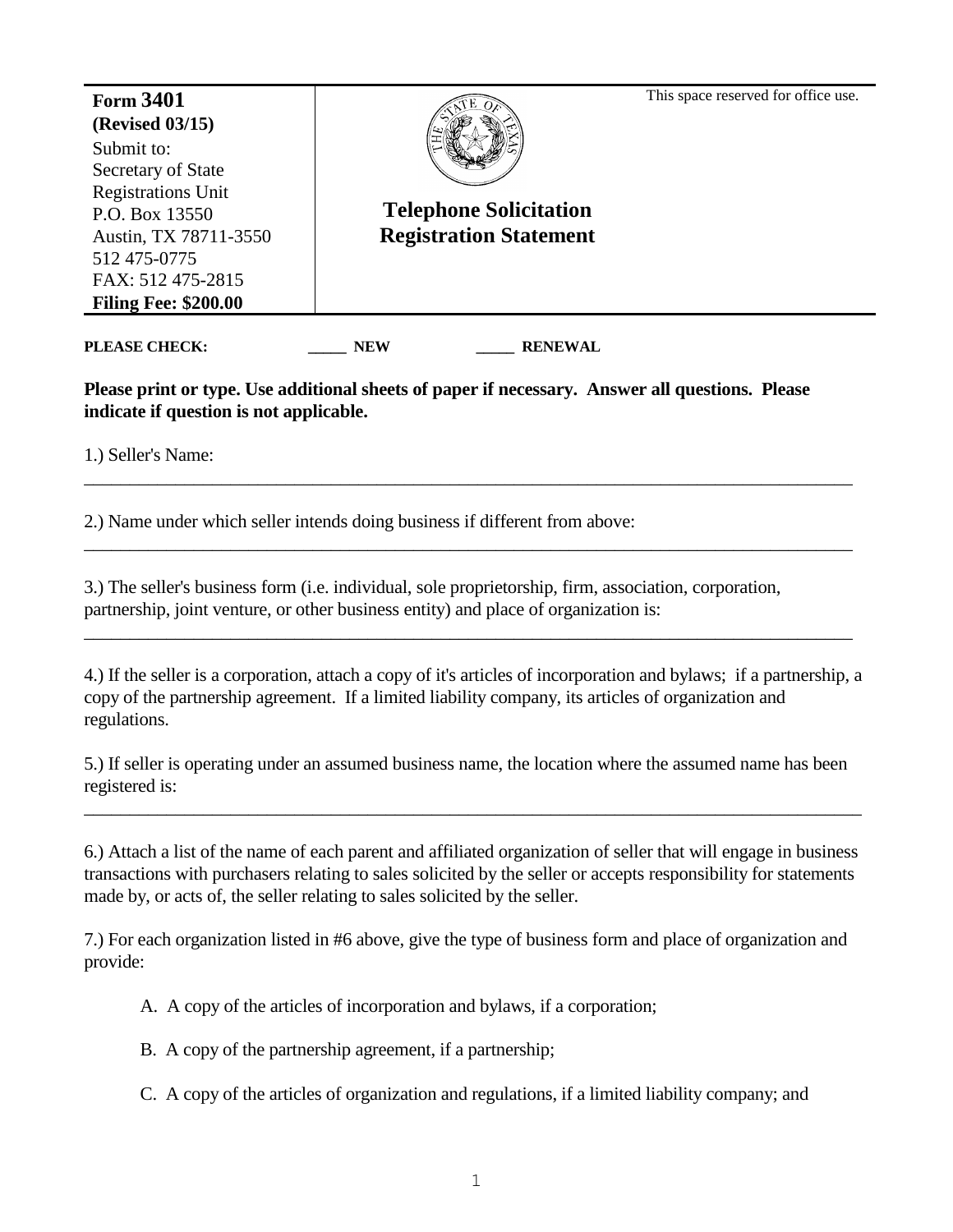| <b>Form 3401</b><br><b>(Revised 03/15)</b>                                                                                                                                   |                                                                | This space reserved for office use. |
|------------------------------------------------------------------------------------------------------------------------------------------------------------------------------|----------------------------------------------------------------|-------------------------------------|
| Submit to:<br>Secretary of State<br><b>Registrations Unit</b><br>P.O. Box 13550<br>Austin, TX 78711-3550<br>512 475-0775<br>FAX: 512 475-2815<br><b>Filing Fee: \$200.00</b> | <b>Telephone Solicitation</b><br><b>Registration Statement</b> |                                     |
|                                                                                                                                                                              |                                                                |                                     |

**\_\_\_\_\_ \_\_\_\_\_**

**PLEASE CHECK:** NEW RENEWAL

**Please print or type. Use additional sheets of paper if necessary. Answer all questions. Please indicate if question is not applicable.**

\_\_\_\_\_\_\_\_\_\_\_\_\_\_\_\_\_\_\_\_\_\_\_\_\_\_\_\_\_\_\_\_\_\_\_\_\_\_\_\_\_\_\_\_\_\_\_\_\_\_\_\_\_\_\_\_\_\_\_\_\_\_\_\_\_\_\_\_\_\_\_\_\_\_\_\_\_\_\_\_\_\_\_\_

\_\_\_\_\_\_\_\_\_\_\_\_\_\_\_\_\_\_\_\_\_\_\_\_\_\_\_\_\_\_\_\_\_\_\_\_\_\_\_\_\_\_\_\_\_\_\_\_\_\_\_\_\_\_\_\_\_\_\_\_\_\_\_\_\_\_\_\_\_\_\_\_\_\_\_\_\_\_\_\_\_\_\_\_

\_\_\_\_\_\_\_\_\_\_\_\_\_\_\_\_\_\_\_\_\_\_\_\_\_\_\_\_\_\_\_\_\_\_\_\_\_\_\_\_\_\_\_\_\_\_\_\_\_\_\_\_\_\_\_\_\_\_\_\_\_\_\_\_\_\_\_\_\_\_\_\_\_\_\_\_\_\_\_\_\_\_\_\_

1.) Seller's Name:

2.) Name under which seller intends doing business if different from above:

3.) The seller's business form (i.e. individual, sole proprietorship, firm, association, corporation, partnership, joint venture, or other business entity) and place of organization is:

4.) If the seller is a corporation, attach a copy of it's articles of incorporation and bylaws; if a partnership, a copy of the partnership agreement. If a limited liability company, its articles of organization and regulations.

5.) If seller is operating under an assumed business name, the location where the assumed name has been registered is:

\_\_\_\_\_\_\_\_\_\_\_\_\_\_\_\_\_\_\_\_\_\_\_\_\_\_\_\_\_\_\_\_\_\_\_\_\_\_\_\_\_\_\_\_\_\_\_\_\_\_\_\_\_\_\_\_\_\_\_\_\_\_\_\_\_\_\_\_\_\_\_\_\_\_\_\_\_\_\_\_\_\_\_\_\_

6.) Attach a list of the name of each parent and affiliated organization of seller that will engage in business transactions with purchasers relating to sales solicited by the seller or accepts responsibility for statements made by, or acts of, the seller relating to sales solicited by the seller.

7.) For each organization listed in #6 above, give the type of business form and place of organization and provide:

A. A copy of the articles of incorporation and bylaws, if a corporation;

B. A copy of the partnership agreement, if a partnership;

C. A copy of the articles of organization and regulations, if a limited liability company; and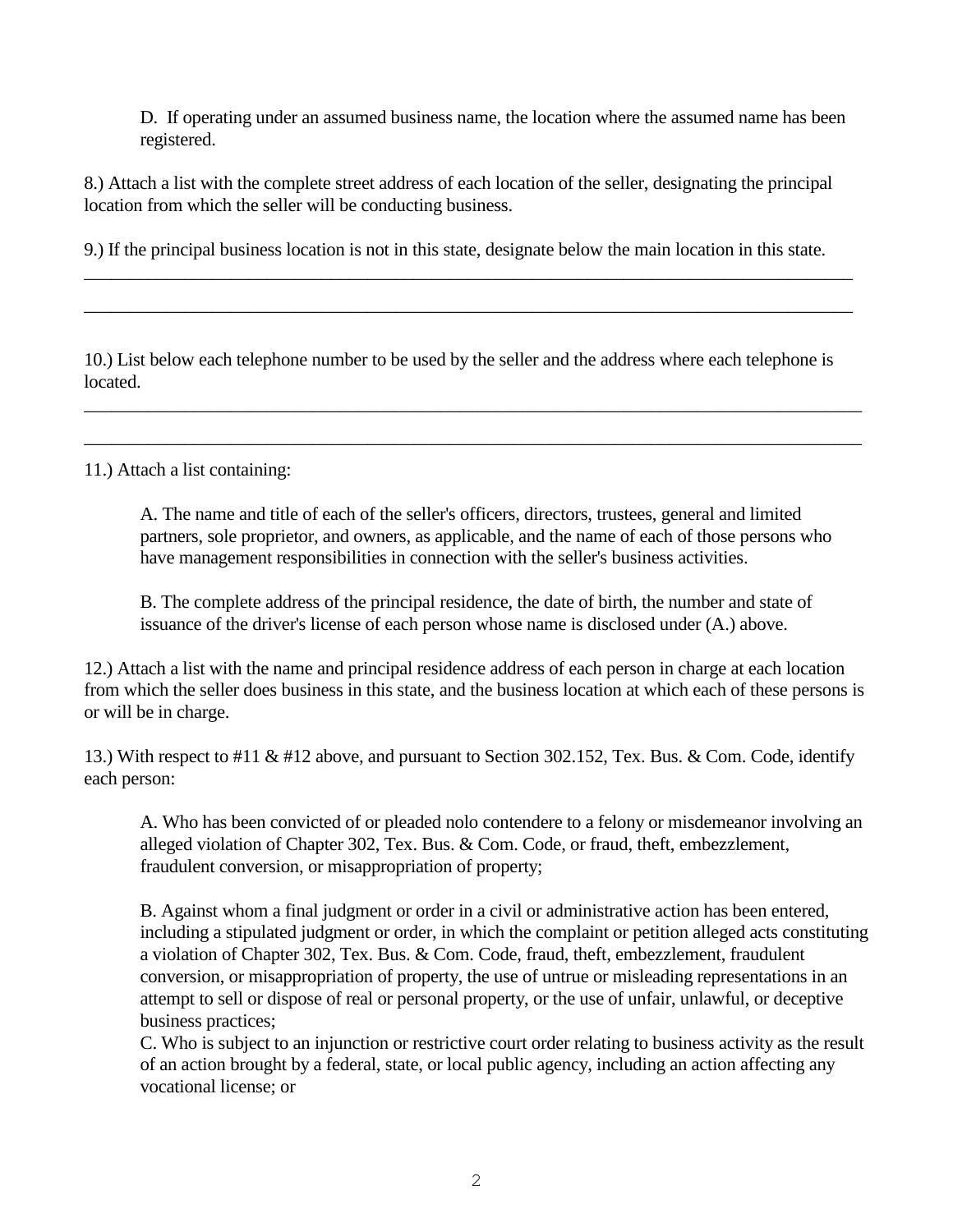D. If operating under an assumed business name, the location where the assumed name has been registered.

8.) Attach a list with the complete street address of each location of the seller, designating the principal location from which the seller will be conducting business.

9.) If the principal business location is not in this state, designate below the main location in this state.

 $\_$  , and the set of the set of the set of the set of the set of the set of the set of the set of the set of the set of the set of the set of the set of the set of the set of the set of the set of the set of the set of th

\_\_\_\_\_\_\_\_\_\_\_\_\_\_\_\_\_\_\_\_\_\_\_\_\_\_\_\_\_\_\_\_\_\_\_\_\_\_\_\_\_\_\_\_\_\_\_\_\_\_\_\_\_\_\_\_\_\_\_\_\_\_\_\_\_\_\_\_\_\_\_\_\_\_\_\_\_\_\_\_\_\_\_\_

10.) List below each telephone number to be used by the seller and the address where each telephone is located.

\_\_\_\_\_\_\_\_\_\_\_\_\_\_\_\_\_\_\_\_\_\_\_\_\_\_\_\_\_\_\_\_\_\_\_\_\_\_\_\_\_\_\_\_\_\_\_\_\_\_\_\_\_\_\_\_\_\_\_\_\_\_\_\_\_\_\_\_\_\_\_\_\_\_\_\_\_\_\_\_\_\_\_\_\_

\_\_\_\_\_\_\_\_\_\_\_\_\_\_\_\_\_\_\_\_\_\_\_\_\_\_\_\_\_\_\_\_\_\_\_\_\_\_\_\_\_\_\_\_\_\_\_\_\_\_\_\_\_\_\_\_\_\_\_\_\_\_\_\_\_\_\_\_\_\_\_\_\_\_\_\_\_\_\_\_\_\_\_\_\_

11.) Attach a list containing:

A. The name and title of each of the seller's officers, directors, trustees, general and limited partners, sole proprietor, and owners, as applicable, and the name of each of those persons who have management responsibilities in connection with the seller's business activities.

B. The complete address of the principal residence, the date of birth, the number and state of issuance of the driver's license of each person whose name is disclosed under (A.) above.

12.) Attach a list with the name and principal residence address of each person in charge at each location from which the seller does business in this state, and the business location at which each of these persons is or will be in charge.

13.) With respect to #11 & #12 above, and pursuant to Section 302.152, Tex. Bus. & Com. Code, identify each person:

A. Who has been convicted of or pleaded nolo contendere to a felony or misdemeanor involving an alleged violation of Chapter 302, Tex. Bus. & Com. Code, or fraud, theft, embezzlement, fraudulent conversion, or misappropriation of property;

B. Against whom a final judgment or order in a civil or administrative action has been entered, including a stipulated judgment or order, in which the complaint or petition alleged acts constituting a violation of Chapter 302, Tex. Bus. & Com. Code, fraud, theft, embezzlement, fraudulent conversion, or misappropriation of property, the use of untrue or misleading representations in an attempt to sell or dispose of real or personal property, or the use of unfair, unlawful, or deceptive business practices;

C. Who is subject to an injunction or restrictive court order relating to business activity as the result of an action brought by a federal, state, or local public agency, including an action affecting any vocational license; or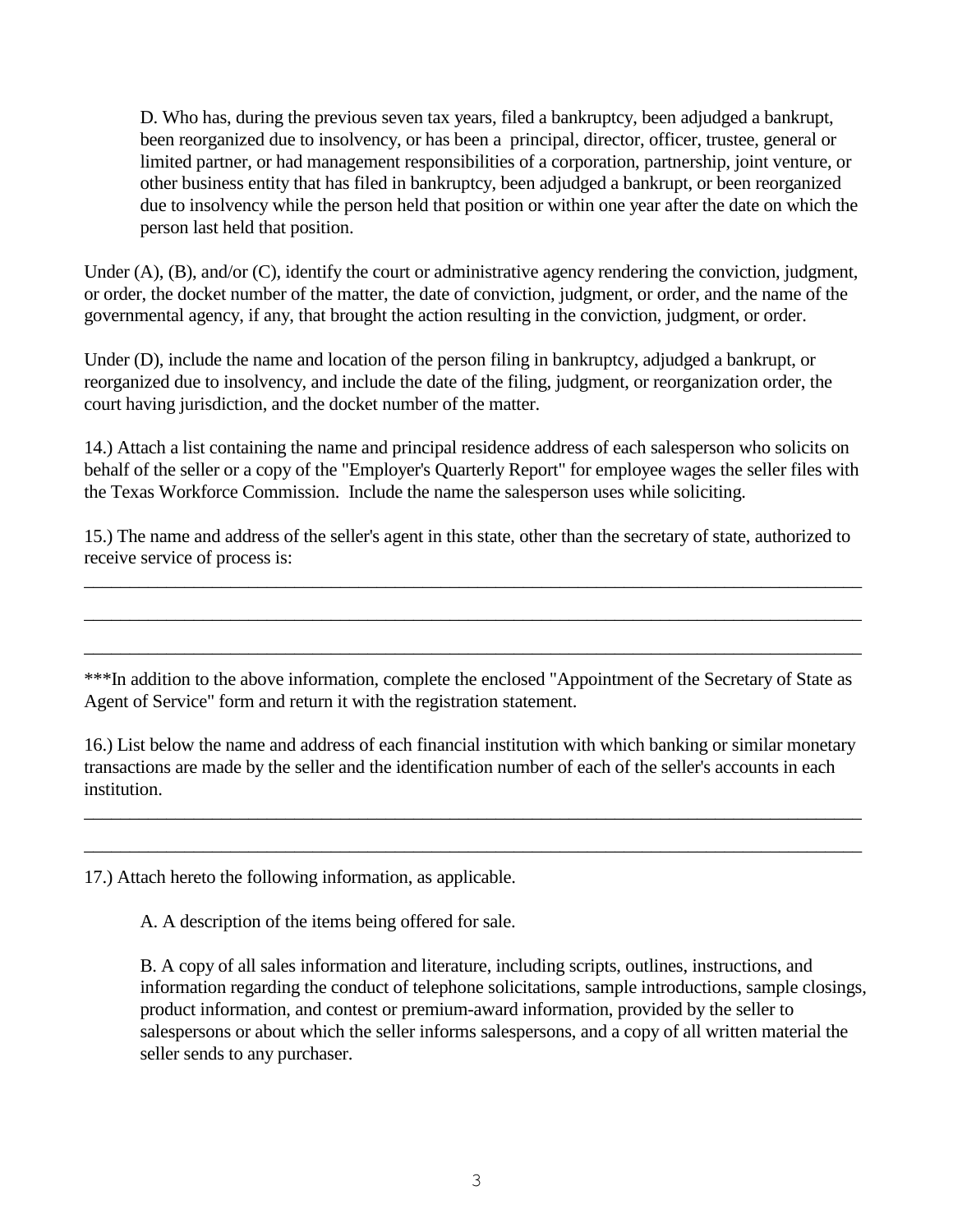D. Who has, during the previous seven tax years, filed a bankruptcy, been adjudged a bankrupt, been reorganized due to insolvency, or has been a principal, director, officer, trustee, general or limited partner, or had management responsibilities of a corporation, partnership, joint venture, or other business entity that has filed in bankruptcy, been adjudged a bankrupt, or been reorganized due to insolvency while the person held that position or within one year after the date on which the person last held that position.

Under  $(A)$ ,  $(B)$ , and/or  $(C)$ , identify the court or administrative agency rendering the conviction, judgment, or order, the docket number of the matter, the date of conviction, judgment, or order, and the name of the governmental agency, if any, that brought the action resulting in the conviction, judgment, or order.

Under (D), include the name and location of the person filing in bankruptcy, adjudged a bankrupt, or reorganized due to insolvency, and include the date of the filing, judgment, or reorganization order, the court having jurisdiction, and the docket number of the matter.

14.) Attach a list containing the name and principal residence address of each salesperson who solicits on behalf of the seller or a copy of the "Employer's Quarterly Report" for employee wages the seller files with the Texas Workforce Commission. Include the name the salesperson uses while soliciting.

15.) The name and address of the seller's agent in this state, other than the secretary of state, authorized to receive service of process is:

 $\_$  , and the set of the set of the set of the set of the set of the set of the set of the set of the set of the set of the set of the set of the set of the set of the set of the set of the set of the set of the set of th

\_\_\_\_\_\_\_\_\_\_\_\_\_\_\_\_\_\_\_\_\_\_\_\_\_\_\_\_\_\_\_\_\_\_\_\_\_\_\_\_\_\_\_\_\_\_\_\_\_\_\_\_\_\_\_\_\_\_\_\_\_\_\_\_\_\_\_\_\_\_\_\_\_\_\_\_\_\_\_\_\_\_\_\_\_

\_\_\_\_\_\_\_\_\_\_\_\_\_\_\_\_\_\_\_\_\_\_\_\_\_\_\_\_\_\_\_\_\_\_\_\_\_\_\_\_\_\_\_\_\_\_\_\_\_\_\_\_\_\_\_\_\_\_\_\_\_\_\_\_\_\_\_\_\_\_\_\_\_\_\_\_\_\_\_\_\_\_\_\_\_

\*\*\*In addition to the above information, complete the enclosed "Appointment of the Secretary of State as Agent of Service" form and return it with the registration statement.

16.) List below the name and address of each financial institution with which banking or similar monetary transactions are made by the seller and the identification number of each of the seller's accounts in each institution.

\_\_\_\_\_\_\_\_\_\_\_\_\_\_\_\_\_\_\_\_\_\_\_\_\_\_\_\_\_\_\_\_\_\_\_\_\_\_\_\_\_\_\_\_\_\_\_\_\_\_\_\_\_\_\_\_\_\_\_\_\_\_\_\_\_\_\_\_\_\_\_\_\_\_\_\_\_\_\_\_\_\_\_\_\_

 $\_$  , and the set of the set of the set of the set of the set of the set of the set of the set of the set of the set of the set of the set of the set of the set of the set of the set of the set of the set of the set of th

17.) Attach hereto the following information, as applicable.

A. A description of the items being offered for sale.

B. A copy of all sales information and literature, including scripts, outlines, instructions, and information regarding the conduct of telephone solicitations, sample introductions, sample closings, product information, and contest or premium-award information, provided by the seller to salespersons or about which the seller informs salespersons, and a copy of all written material the seller sends to any purchaser.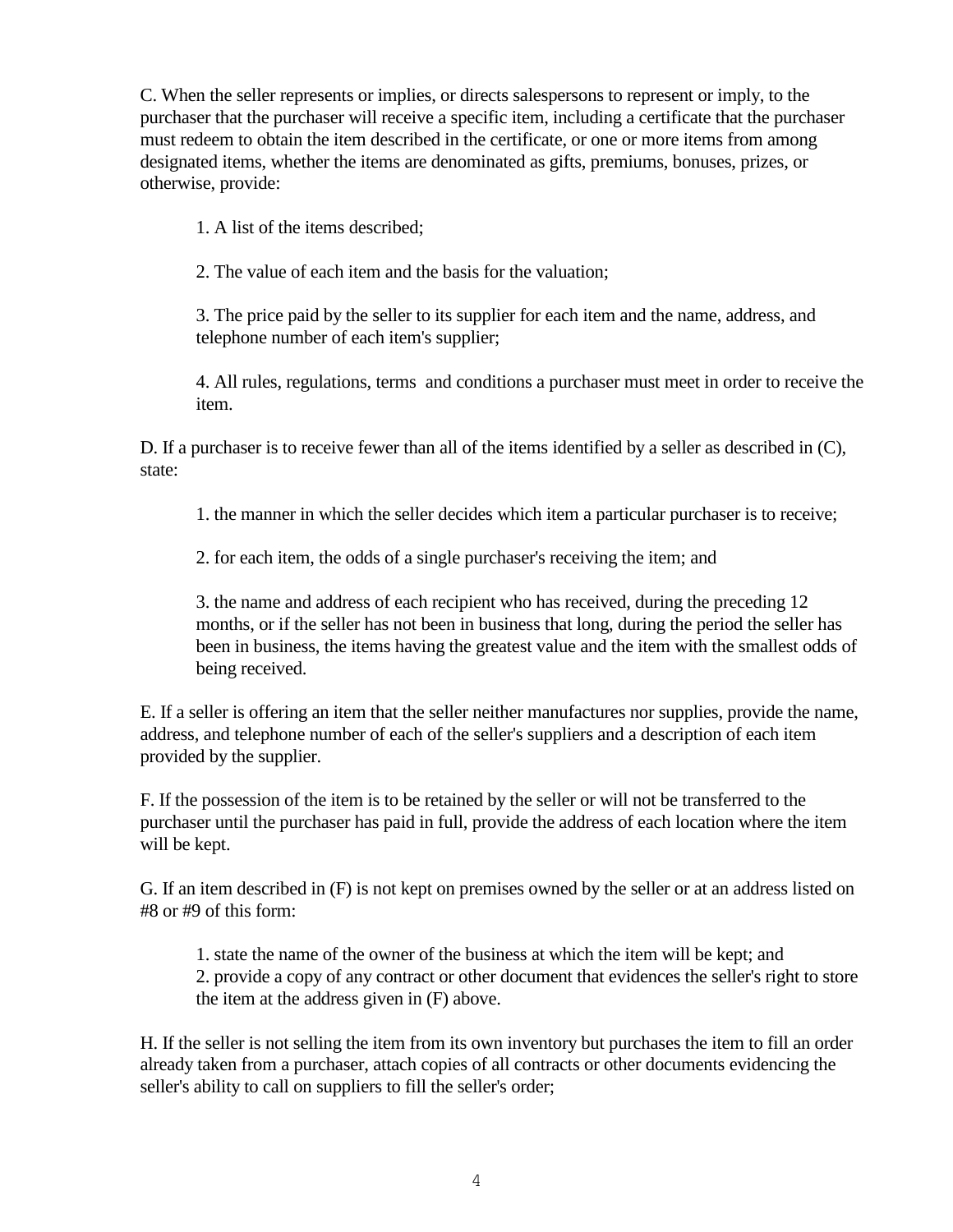C. When the seller represents or implies, or directs salespersons to represent or imply, to the purchaser that the purchaser will receive a specific item, including a certificate that the purchaser must redeem to obtain the item described in the certificate, or one or more items from among designated items, whether the items are denominated as gifts, premiums, bonuses, prizes, or otherwise, provide:

1. A list of the items described;

2. The value of each item and the basis for the valuation;

3. The price paid by the seller to its supplier for each item and the name, address, and telephone number of each item's supplier;

4. All rules, regulations, terms and conditions a purchaser must meet in order to receive the item.

D. If a purchaser is to receive fewer than all of the items identified by a seller as described in (C), state:

1. the manner in which the seller decides which item a particular purchaser is to receive;

2. for each item, the odds of a single purchaser's receiving the item; and

3. the name and address of each recipient who has received, during the preceding 12 months, or if the seller has not been in business that long, during the period the seller has been in business, the items having the greatest value and the item with the smallest odds of being received.

E. If a seller is offering an item that the seller neither manufactures nor supplies, provide the name, address, and telephone number of each of the seller's suppliers and a description of each item provided by the supplier.

F. If the possession of the item is to be retained by the seller or will not be transferred to the purchaser until the purchaser has paid in full, provide the address of each location where the item will be kept.

G. If an item described in (F) is not kept on premises owned by the seller or at an address listed on #8 or #9 of this form:

1. state the name of the owner of the business at which the item will be kept; and 2. provide a copy of any contract or other document that evidences the seller's right to store the item at the address given in (F) above.

H. If the seller is not selling the item from its own inventory but purchases the item to fill an order already taken from a purchaser, attach copies of all contracts or other documents evidencing the seller's ability to call on suppliers to fill the seller's order;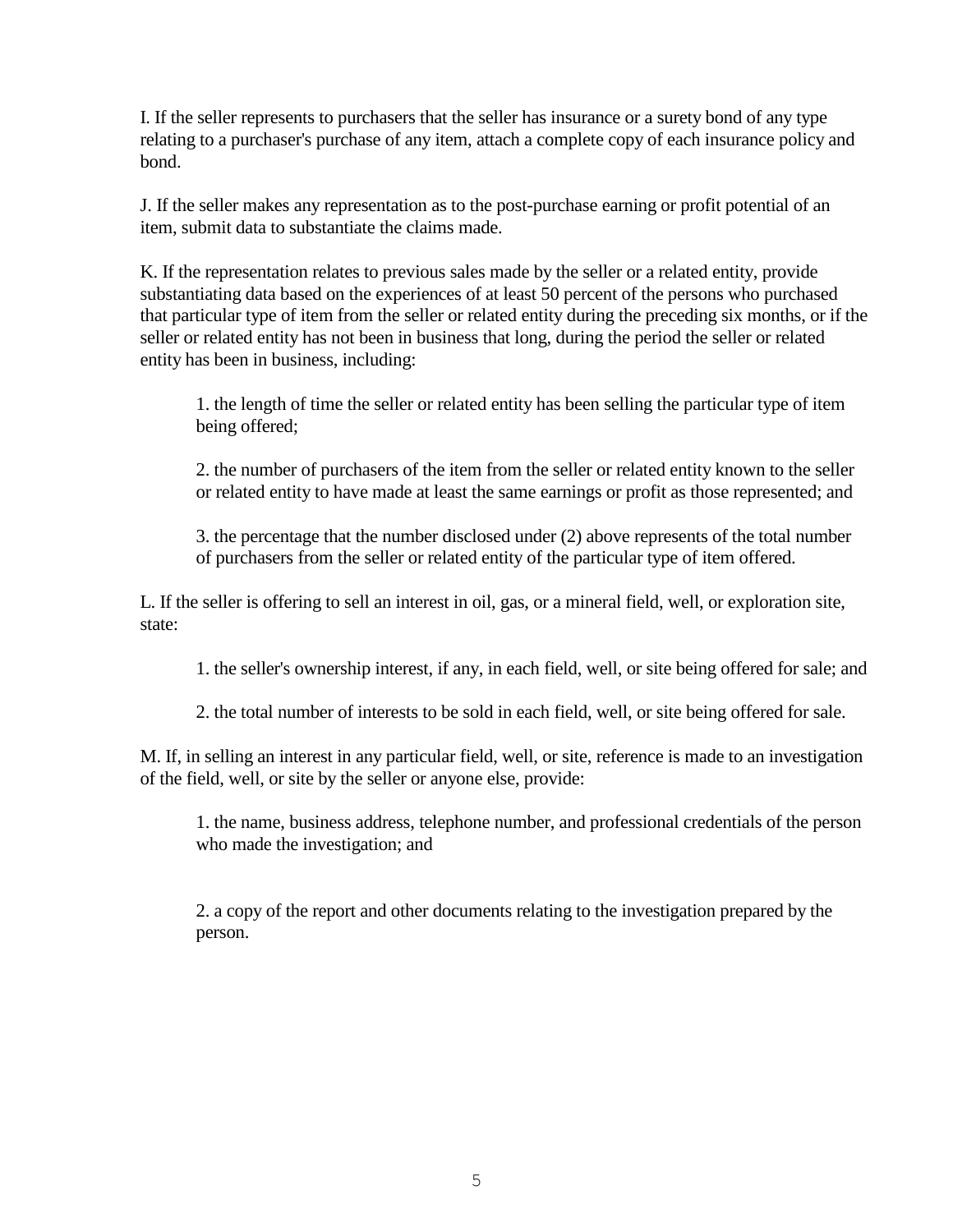I. If the seller represents to purchasers that the seller has insurance or a surety bond of any type relating to a purchaser's purchase of any item, attach a complete copy of each insurance policy and bond.

J. If the seller makes any representation as to the post-purchase earning or profit potential of an item, submit data to substantiate the claims made.

K. If the representation relates to previous sales made by the seller or a related entity, provide substantiating data based on the experiences of at least 50 percent of the persons who purchased that particular type of item from the seller or related entity during the preceding six months, or if the seller or related entity has not been in business that long, during the period the seller or related entity has been in business, including:

1. the length of time the seller or related entity has been selling the particular type of item being offered;

2. the number of purchasers of the item from the seller or related entity known to the seller or related entity to have made at least the same earnings or profit as those represented; and

3. the percentage that the number disclosed under (2) above represents of the total number of purchasers from the seller or related entity of the particular type of item offered.

L. If the seller is offering to sell an interest in oil, gas, or a mineral field, well, or exploration site, state:

1. the seller's ownership interest, if any, in each field, well, or site being offered for sale; and

2. the total number of interests to be sold in each field, well, or site being offered for sale.

M. If, in selling an interest in any particular field, well, or site, reference is made to an investigation of the field, well, or site by the seller or anyone else, provide:

1. the name, business address, telephone number, and professional credentials of the person who made the investigation; and

2. a copy of the report and other documents relating to the investigation prepared by the person.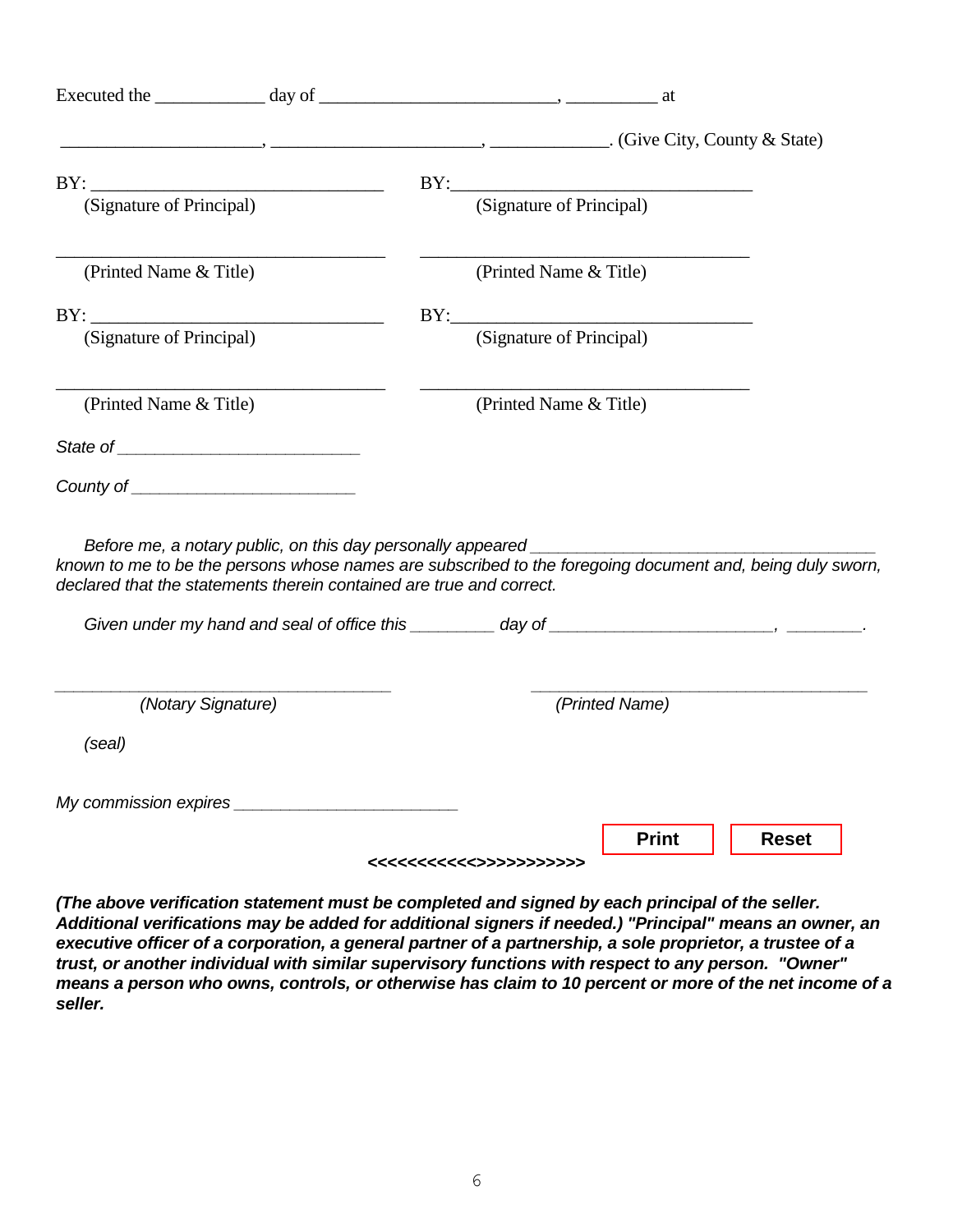|                                                                                                                                                                                                                                                                        |  | $\ldots$ , $\ldots$ , $\ldots$ , $\ldots$ , $\ldots$ , $\ldots$ , $\ldots$ , $\ldots$ , $\ldots$ , $\ldots$ , $\ldots$ , $\ldots$ , $\ldots$ , $\ldots$ , $\ldots$ , $\ldots$ , $\ldots$ , $\ldots$ , $\ldots$ , $\ldots$ , $\ldots$ , $\ldots$ , $\ldots$ , $\ldots$ , $\ldots$ , $\ldots$ , $\ldots$ , $\ldots$ , $\ldots$ , $\ldots$ , $\ldots$ , $\ldots$ |                |              |  |
|------------------------------------------------------------------------------------------------------------------------------------------------------------------------------------------------------------------------------------------------------------------------|--|---------------------------------------------------------------------------------------------------------------------------------------------------------------------------------------------------------------------------------------------------------------------------------------------------------------------------------------------------------------|----------------|--------------|--|
|                                                                                                                                                                                                                                                                        |  |                                                                                                                                                                                                                                                                                                                                                               |                |              |  |
| (Signature of Principal)                                                                                                                                                                                                                                               |  | BY: (Signature of Principal)                                                                                                                                                                                                                                                                                                                                  |                |              |  |
| (Printed Name & Title)                                                                                                                                                                                                                                                 |  | (Printed Name & Title)                                                                                                                                                                                                                                                                                                                                        |                |              |  |
|                                                                                                                                                                                                                                                                        |  |                                                                                                                                                                                                                                                                                                                                                               |                |              |  |
| (Signature of Principal)                                                                                                                                                                                                                                               |  | (Signature of Principal)                                                                                                                                                                                                                                                                                                                                      |                |              |  |
| (Printed Name & Title)                                                                                                                                                                                                                                                 |  | (Printed Name & Title)                                                                                                                                                                                                                                                                                                                                        |                |              |  |
|                                                                                                                                                                                                                                                                        |  |                                                                                                                                                                                                                                                                                                                                                               |                |              |  |
|                                                                                                                                                                                                                                                                        |  |                                                                                                                                                                                                                                                                                                                                                               |                |              |  |
| Before me, a notary public, on this day personally appeared _____________________<br>known to me to be the persons whose names are subscribed to the foregoing document and, being duly sworn,<br>declared that the statements therein contained are true and correct. |  |                                                                                                                                                                                                                                                                                                                                                               |                |              |  |
| (Notary Signature)                                                                                                                                                                                                                                                     |  |                                                                                                                                                                                                                                                                                                                                                               | (Printed Name) |              |  |
| (seal)                                                                                                                                                                                                                                                                 |  |                                                                                                                                                                                                                                                                                                                                                               |                |              |  |
|                                                                                                                                                                                                                                                                        |  |                                                                                                                                                                                                                                                                                                                                                               |                |              |  |
|                                                                                                                                                                                                                                                                        |  |                                                                                                                                                                                                                                                                                                                                                               | <b>Print</b>   | <b>Reset</b> |  |
|                                                                                                                                                                                                                                                                        |  |                                                                                                                                                                                                                                                                                                                                                               |                |              |  |

*(The above verification statement must be completed and signed by each principal of the seller. Additional verifications may be added for additional signers if needed.) "Principal" means an owner, an executive officer of a corporation, a general partner of a partnership, a sole proprietor, a trustee of a trust, or another individual with similar supervisory functions with respect to any person. "Owner" means a person who owns, controls, or otherwise has claim to 10 percent or more of the net income of a seller.*